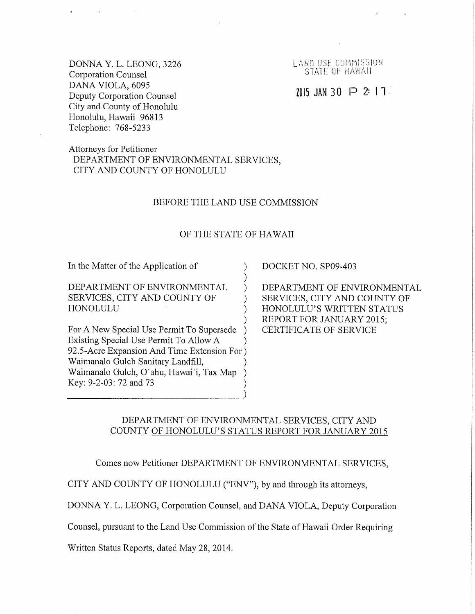DONNA Y.L. LEONG, 3226 **Corporation Counsel** DANA VIOLA, 6095 Deputy Corporation Counsel City and County of Honolulu Honolulu, Hawaii 96813 Telephone: 768-5233

LAND USE COMMISSION STATE OF HAWAII

# 7015 JAN 30  $\triangleright$  2: 17

## Attorneys for Petitioner DEPARTMENT OF ENVIRONMENTAL SERVICES, CITY AND COUNTY OF HONOLULU

#### BEFORE THE LAND USE COMMISSION

#### OF THE STATE OF HAWAII

 $\lambda$  $\mathcal{E}$ 

 $\lambda$ 

 $\mathcal{E}$ 

 $\lambda$ 

In the Matter of the Application of

DEPARTMENT OF ENVIRONMENTAL SERVICES, CITY AND COUNTY OF **HONOLULU** 

For A New Special Use Permit To Supersede ) Existing Special Use Permit To Allow A 92.5-Acre Expansion And Time Extension For) Waimanalo Gulch Sanitary Landfill, Waimanalo Gulch, O'ahu, Hawai'i, Tax Map Key: 9-2-03: 72 and 73

#### DOCKET NO. SP09-403

DEPARTMENT OF ENVIRONMENTAL SERVICES, CITY AND COUNTY OF HONOLULU'S WRITTEN STATUS REPORT FOR JANUARY 2015; **CERTIFICATE OF SERVICE** 

### DEPARTMENT OF ENVIRONMENTAL SERVICES, CITY AND COUNTY OF HONOLULU'S STATUS REPORT FOR JANUARY 2015

Comes now Petitioner DEPARTMENT OF ENVIRONMENTAL SERVICES,

CITY AND COUNTY OF HONOLULU ("ENV"), by and through its attorneys,

DONNA Y. L. LEONG, Corporation Counsel, and DANA VIOLA, Deputy Corporation

Counsel, pursuant to the Land Use Commission of the State of Hawaii Order Requiring

Written Status Reports, dated May 28, 2014.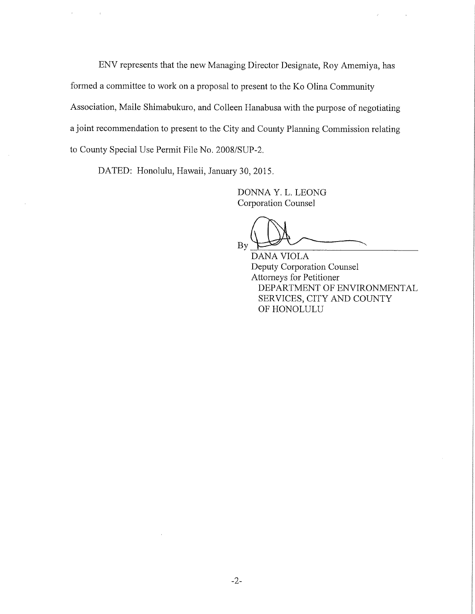ENV represents that the new Managing Director Designate, Roy Amemiya, has formed a committee to work on a proposal to present to the Ko Olina Community Association, Maile Shimabukuro, and Colleen Hanabusa with the purpose of negotiating a joint recommendation to present to the City and County Planning Commission relating to County Special Use Permit File No. 2008/SUP-2.

DATED: Honolulu, Hawaii, January 30, 2015.

DONNA Y. L. LEONG Corporation Counsel

 $\n **By**  $\overbrace{}$  **BAMA WOT A**$ 

DANA VIOLA Deputy Corporation Counsel Attorneys for Petitioner DEPARTMENT OF ENVIRONMENTAL SERVICES, CITY AND COUNTY OF HONOLULU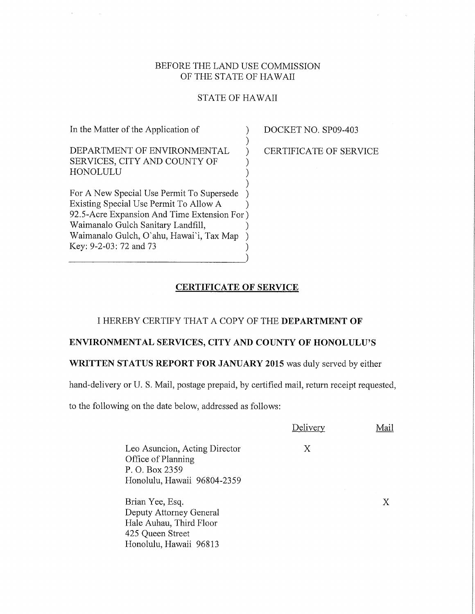### BEFORE THE LAND USE COMMISSION OF THE STATE OF HAWAII

### STATE OF HAWAII

In the Matter of the Application of DEPARTMENT OF ENVIRONMENTAL SERVICES, CITY AND COUNTY OF HONOLULU ) ) ) For A New Special Use Permit To Supersede Existing Special Use Permit To Allow A 92.5-Acre Expansion And Time Extension For Waimanalo Gulch Sanitary Landfill, Waimanalo Gulch, O'ahu, Hawai'i, Tax Map Key: 9-2-03:72 and 73 ) ) ) ) ) ) ) ) ) ) DOCKET NO. SP09-403

CERTIFICATE OF SERVICE

### CERTIFICATE OF SERVICE

### I HEREBY CERTIFY THAT A COPY OF THE DEPARTMENT OF

### ENVIRONMENTAL SERVICES, CITY AND COUNTY OF HONOLULU'S

### WRITTEN STATUS REPORT FOR JANUARY 2015 was duly served by either

hand-delivery or U. S. Mail, postage prepaid, by certified mail, return receipt requested,

to the following on the date below, addressed as follows:

Delivery Mail

X

Leo Asuncion, Acting Director Office of Planning P. O. Box 2359 Honolulu, Hawaii 96804-2359

Brian Yee, Esq. Deputy Attorney General Hale Auhau, Third Floor 425 Queen Street Honolulu, Hawaii 96813 X